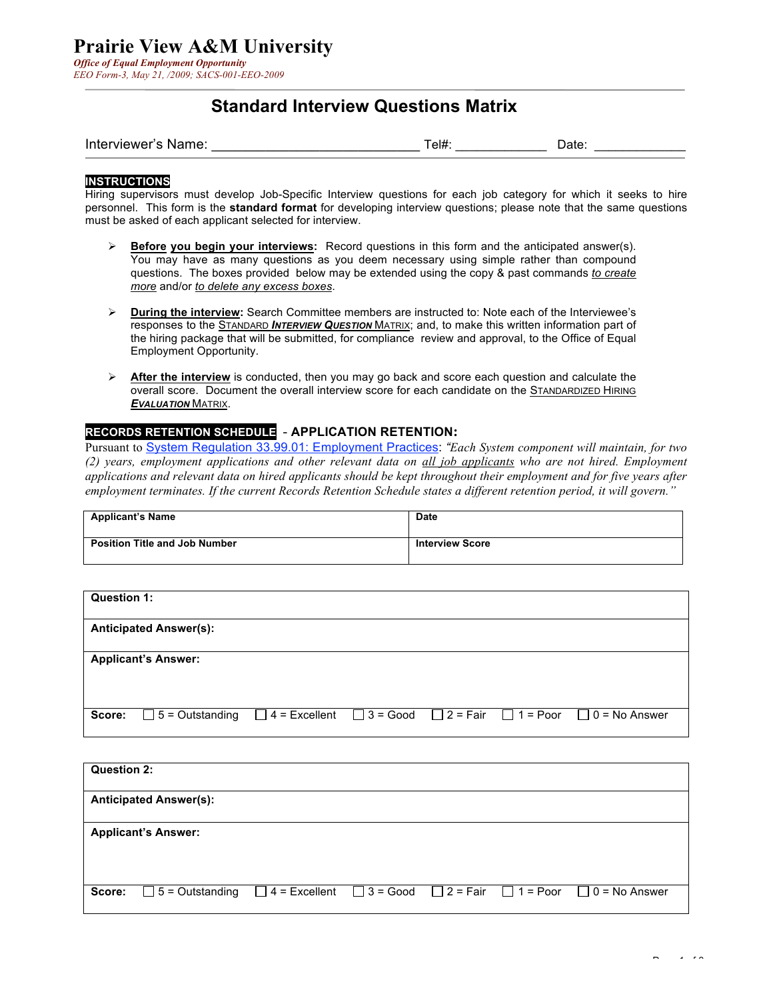### **Standard Interview Questions Matrix**

| Interviewer's Name: | el# | Date: |  |
|---------------------|-----|-------|--|
|                     |     |       |  |

#### **INSTRUCTIONS**

Hiring supervisors must develop Job-Specific Interview questions for each job category for which it seeks to hire personnel. This form is the **standard format** for developing interview questions; please note that the same questions must be asked of each applicant selected for interview.

- **Before you begin your interviews:** Record questions in this form and the anticipated answer(s). You may have as many questions as you deem necessary using simple rather than compound questions. The boxes provided below may be extended using the copy & past commands *to create more* and/or *to delete any excess boxes*.
- **Euring the interview:** Search Committee members are instructed to: Note each of the Interviewee's responses to the STANDARD *INTERVIEW QUESTION* MATRIX; and, to make this written information part of the hiring package that will be submitted, for compliance review and approval, to the Office of Equal Employment Opportunity.
- **Example 1** After the interview is conducted, then you may go back and score each question and calculate the overall score. Document the overall interview score for each candidate on the STANDARDIZED HIRING *EVALUATION* MATRIX.

### **RECORDS RETENTION SCHEDULE** - **APPLICATION RETENTION:**

Pursuant to System Regulation 33.99.01: Employment Practices: *"Each System component will maintain, for two (2) years, employment applications and other relevant data on all job applicants who are not hired. Employment applications and relevant data on hired applicants should be kept throughout their employment and for five years after employment terminates. If the current Records Retention Schedule states a different retention period, it will govern."*

| <b>Applicant's Name</b>              | <b>Date</b>            |
|--------------------------------------|------------------------|
| <b>Position Title and Job Number</b> | <b>Interview Score</b> |

| Question 1: |                               |  |  |                                                                                           |
|-------------|-------------------------------|--|--|-------------------------------------------------------------------------------------------|
|             | <b>Anticipated Answer(s):</b> |  |  |                                                                                           |
|             | <b>Applicant's Answer:</b>    |  |  |                                                                                           |
| Score:      | $\Box$ 5 = Outstanding        |  |  | $\Box$ 4 = Excellent $\Box$ 3 = Good $\Box$ 2 = Fair $\Box$ 1 = Poor $\Box$ 0 = No Answer |

| Question 2: |                                                                                                                  |  |  |  |
|-------------|------------------------------------------------------------------------------------------------------------------|--|--|--|
|             | <b>Anticipated Answer(s):</b>                                                                                    |  |  |  |
|             | <b>Applicant's Answer:</b>                                                                                       |  |  |  |
| Score:      | $\Box$ 5 = Outstanding $\Box$ 4 = Excellent $\Box$ 3 = Good $\Box$ 2 = Fair $\Box$ 1 = Poor $\Box$ 0 = No Answer |  |  |  |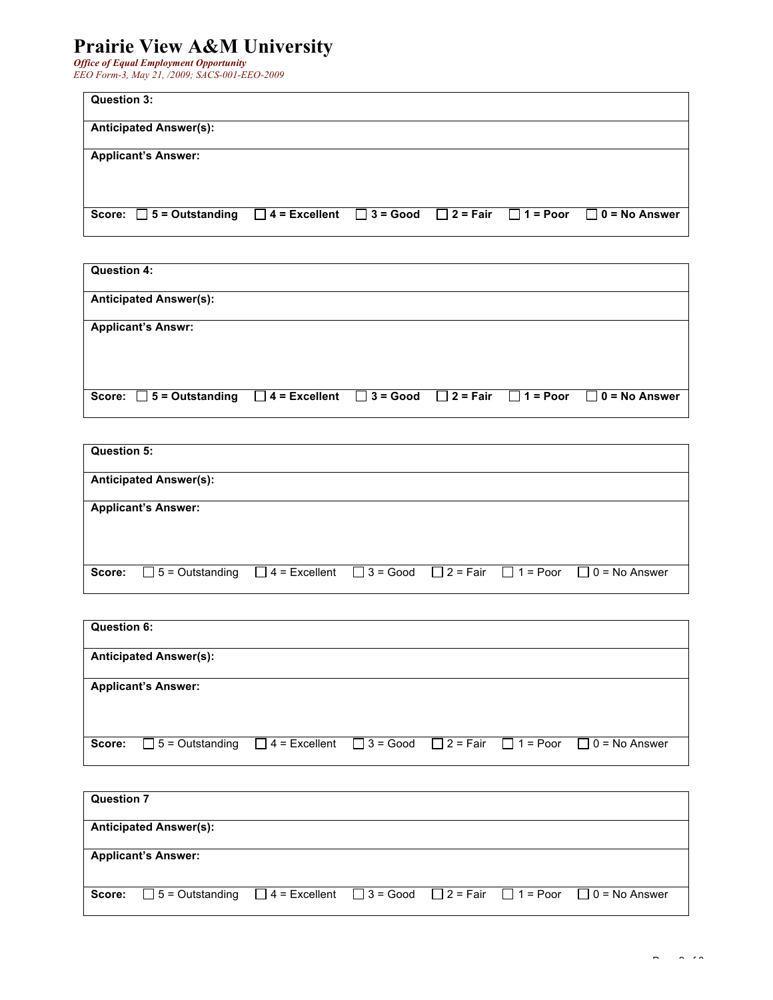# **Prairie View A&M University**

*Office of Equal Employment Opportunity EEO Form-3, May 21, /2009; SACS-001-EEO-2009*

| Question 3:                   |  |  |                                                                                           |
|-------------------------------|--|--|-------------------------------------------------------------------------------------------|
| <b>Anticipated Answer(s):</b> |  |  |                                                                                           |
| <b>Applicant's Answer:</b>    |  |  |                                                                                           |
|                               |  |  |                                                                                           |
| Score: $\Box$ 5 = Outstanding |  |  | $\Box$ 4 = Excellent $\Box$ 3 = Good $\Box$ 2 = Fair $\Box$ 1 = Poor $\Box$ 0 = No Answer |

| Question 4:                                                                                                             |  |  |  |
|-------------------------------------------------------------------------------------------------------------------------|--|--|--|
| <b>Anticipated Answer(s):</b>                                                                                           |  |  |  |
| <b>Applicant's Answr:</b>                                                                                               |  |  |  |
|                                                                                                                         |  |  |  |
|                                                                                                                         |  |  |  |
| Score: $\Box$ 5 = Outstanding $\Box$ 4 = Excellent $\Box$ 3 = Good $\Box$ 2 = Fair $\Box$ 1 = Poor $\Box$ 0 = No Answer |  |  |  |

| Question 5: |                               |  |  |                                                                                           |
|-------------|-------------------------------|--|--|-------------------------------------------------------------------------------------------|
|             | <b>Anticipated Answer(s):</b> |  |  |                                                                                           |
|             | <b>Applicant's Answer:</b>    |  |  |                                                                                           |
|             |                               |  |  |                                                                                           |
| Score:      | $\Box$ 5 = Outstanding        |  |  | $\Box$ 4 = Excellent $\Box$ 3 = Good $\Box$ 2 = Fair $\Box$ 1 = Poor $\Box$ 0 = No Answer |

| Question 6: |                                                                                                                  |  |  |  |
|-------------|------------------------------------------------------------------------------------------------------------------|--|--|--|
|             | <b>Anticipated Answer(s):</b>                                                                                    |  |  |  |
|             | <b>Applicant's Answer:</b>                                                                                       |  |  |  |
|             |                                                                                                                  |  |  |  |
| Score:      | $\Box$ 5 = Outstanding $\Box$ 4 = Excellent $\Box$ 3 = Good $\Box$ 2 = Fair $\Box$ 1 = Poor $\Box$ 0 = No Answer |  |  |  |

| <b>Question 7</b> |                                                                                                                  |  |  |  |
|-------------------|------------------------------------------------------------------------------------------------------------------|--|--|--|
|                   | <b>Anticipated Answer(s):</b>                                                                                    |  |  |  |
|                   | <b>Applicant's Answer:</b>                                                                                       |  |  |  |
| Score:            | $\Box$ 5 = Outstanding $\Box$ 4 = Excellent $\Box$ 3 = Good $\Box$ 2 = Fair $\Box$ 1 = Poor $\Box$ 0 = No Answer |  |  |  |